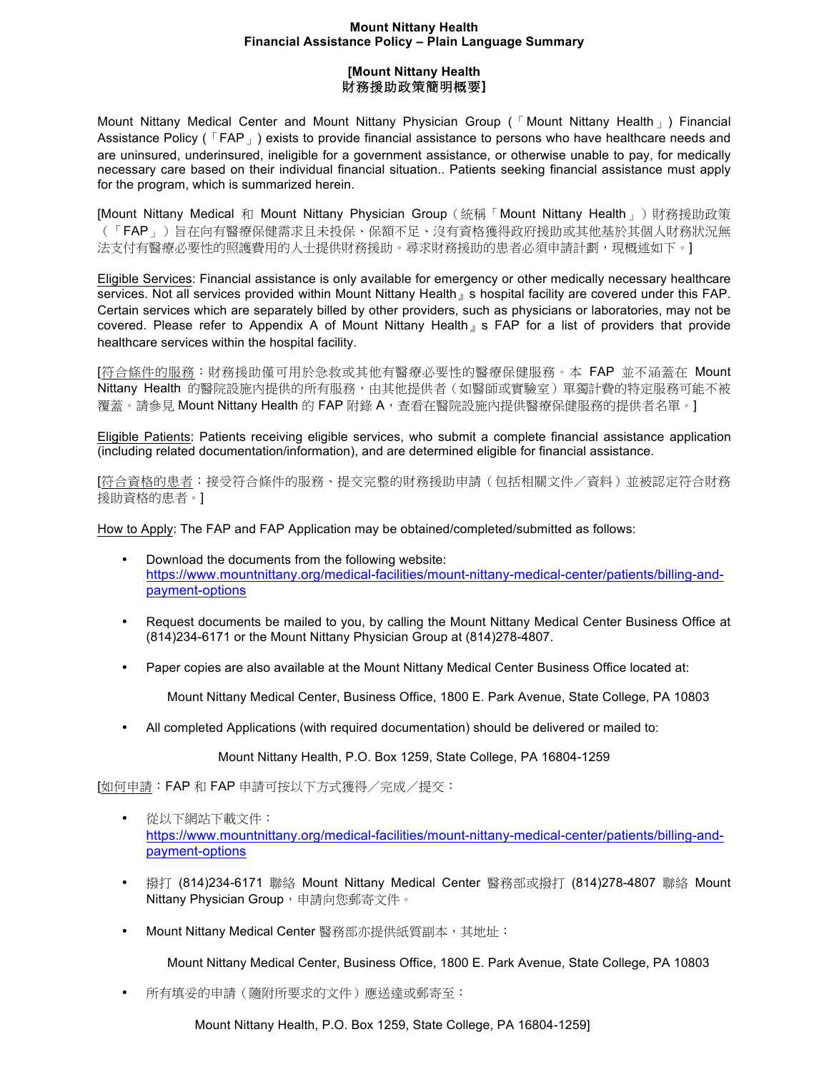## **Mount Nittany Health Financial Assistance Policy – Plain Language Summary**

## **[Mount Nittany Health** 財務援助政策簡明概要**]**

Mount Nittany Medical Center and Mount Nittany Physician Group (「Mount Nittany Health」) Financial Assistance Policy ( $\sqrt{FAP}$ ) exists to provide financial assistance to persons who have healthcare needs and are uninsured, underinsured, ineligible for a government assistance, or otherwise unable to pay, for medically necessary care based on their individual financial situation.. Patients seeking financial assistance must apply for the program, which is summarized herein.

[Mount Nittany Medical 和 Mount Nittany Physician Group(統稱「Mount Nittany Health」)財務援助政策 (「FAP」)旨在向有醫療保健需求且未投保、保額不足、沒有資格獲得政府援助或其他基於其個人財務狀況無 法支付有醫療必要性的照護費用的人士提供財務援助。尋求財務援助的患者必須申請計劃,現概述如下。]

Eligible Services: Financial assistance is only available for emergency or other medically necessary healthcare services. Not all services provided within Mount Nittany Health j s hospital facility are covered under this FAP. Certain services which are separately billed by other providers, such as physicians or laboratories, may not be covered. Please refer to Appendix A of Mount Nittany Health』s FAP for a list of providers that provide healthcare services within the hospital facility.

[符合條件的服務:財務援助僅可用於急救或其他有醫療必要性的醫療保健服務。本 FAP 並不涵蓋在 Mount Nittany Health 的醫院設施內提供的所有服務,由其他提供者(如醫師或實驗室)單獨計費的特定服務可能不被 覆蓋。請參見 Mount Nittany Health 的 FAP 附錄 A,查看在醫院設施內提供醫療保健服務的提供者名單。]

Eligible Patients: Patients receiving eligible services, who submit a complete financial assistance application (including related documentation/information), and are determined eligible for financial assistance.

[符合資格的患者:接受符合條件的服務、提交完整的財務援助申請(包括相關文件/資料)並被認定符合財務 援助資格的患者。]

How to Apply: The FAP and FAP Application may be obtained/completed/submitted as follows:

- Download the documents from the following website: https://www.mountnittany.org/medical-facilities/mount-nittany-medical-center/patients/billing-andpayment-options
- Request documents be mailed to you, by calling the Mount Nittany Medical Center Business Office at (814)234-6171 or the Mount Nittany Physician Group at (814)278-4807.
- Paper copies are also available at the Mount Nittany Medical Center Business Office located at:

Mount Nittany Medical Center, Business Office, 1800 E. Park Avenue, State College, PA 10803

• All completed Applications (with required documentation) should be delivered or mailed to:

Mount Nittany Health, P.O. Box 1259, State College, PA 16804-1259

[如何申請:FAP 和 FAP 申請可按以下方式獲得/完成/提交:

- 從以下網站下載文件: https://www.mountnittany.org/medical-facilities/mount-nittany-medical-center/patients/billing-andpayment-options
- 撥打 (814)234-6171 聯絡 Mount Nittany Medical Center 醫務部或撥打 (814)278-4807 聯絡 Mount Nittany Physician Group, 申請向您郵寄文件。
- Mount Nittany Medical Center 醫務部亦提供紙質副本,其地址:

Mount Nittany Medical Center, Business Office, 1800 E. Park Avenue, State College, PA 10803

• 所有填妥的申請(隨附所要求的文件)應送達或郵寄至:

Mount Nittany Health, P.O. Box 1259, State College, PA 16804-1259]